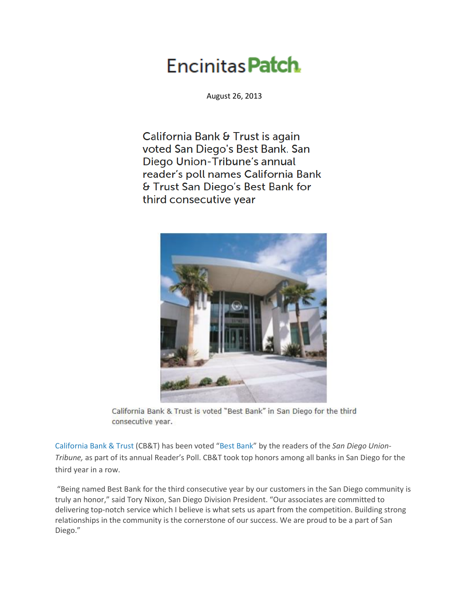## Encinitas **Patch**

August 26, 2013

California Bank & Trust is again voted San Diego's Best Bank. San Diego Union-Tribune's annual reader's poll names California Bank & Trust San Diego's Best Bank for third consecutive year



California Bank & Trust is voted "Best Bank" in San Diego for the third consecutive year.

[California Bank & Trust](http://www.calbanktrust.com/) (CB&T) has been voted "[Best Bank](http://uniontrib.secondstreetapp.com/Best-of-San-Diego-2013/)" by the readers of the *San Diego Union-Tribune,* as part of its annual Reader's Poll. CB&T took top honors among all banks in San Diego for the third year in a row.

"Being named Best Bank for the third consecutive year by our customers in the San Diego community is truly an honor," said Tory Nixon, San Diego Division President. "Our associates are committed to delivering top-notch service which I believe is what sets us apart from the competition. Building strong relationships in the community is the cornerstone of our success. We are proud to be a part of San Diego."